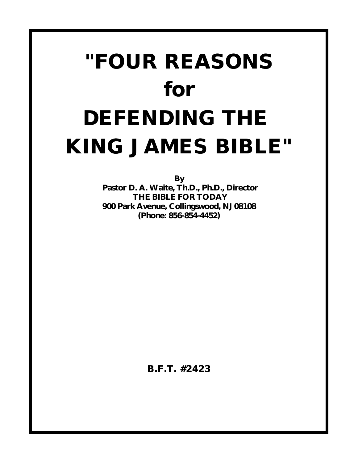# **"FOUR REASONS** *for* **DEFENDING THE KING JAMES BIBLE"**

**By**

 **Pastor D. A. Waite, Th.D., Ph.D., Director THE BIBLE FOR TODAY 900 Park Avenue, Collingswood, NJ 08108 (Phone: 856-854-4452)**

**B.F.T. #2423**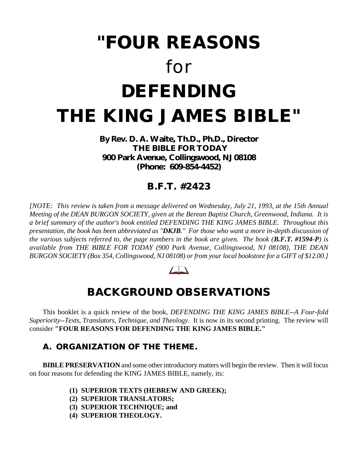## **"FOUR REASONS** *for* **DEFENDING THE KING JAMES BIBLE"**

**By Rev. D. A. Waite, Th.D., Ph.D., Director THE BIBLE FOR TODAY 900 Park Avenue, Collingswood, NJ 08108 (Phone: 609-854-4452)**

### **B.F.T. #2423**

*[NOTE: This review is taken from a message delivered on Wednesday, July 21, 1993, at the 15th Annual Meeting of the DEAN BURGON SOCIETY, given at the Berean Baptist Church, Greenwood, Indiana. It is a brief summary of the author's book entitled DEFENDING THE KING JAMES BIBLE. Throughout this presentation, the book has been abbreviated as "DKJB." For those who want a more in-depth discussion of the various subjects referred to, the page numbers in the book are given. The book (B.F.T. #1594-P) is available from THE BIBLE FOR TODAY (900 Park Avenue, Collingswood, NJ 08108), THE DEAN BURGON SOCIETY (Box 354, Collingswood, NJ 08108) or from your local bookstore for a GIFT of \$12.00.]*

#### $\sqrt{2}$

## **BACKGROUND OBSERVATIONS**

This booklet is a quick review of the book, *DEFENDING THE KING JAMES BIBLE--A Four-fold Superiority--Texts, Translators, Technique, and Theology*. It is now in its second printing. The review will consider **"FOUR REASONS FOR DEFENDING THE KING JAMES BIBLE."**

#### **A. ORGANIZATION OF THE THEME.**

**BIBLE PRESERVATION** and some other introductory matters will begin the review. Then it will focus on four reasons for defending the KING JAMES BIBLE, namely, its:

- **(1) SUPERIOR TEXTS (HEBREW AND GREEK);**
- **(2) SUPERIOR TRANSLATORS;**
- **(3) SUPERIOR TECHNIQUE; and**
- **(4) SUPERIOR THEOLOGY.**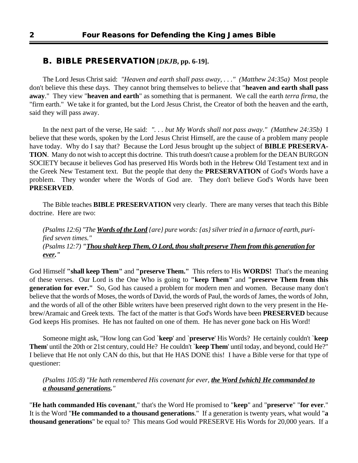#### **B. BIBLE PRESERVATION [***DKJB***, pp. 6-19].**

The Lord Jesus Christ said: *"Heaven and earth shall pass away, . . ." (Matthew 24:35a)* Most people don't believe this these days. They cannot bring themselves to believe that "**heaven and earth shall pass away**." They view "**heaven and earth**" as something that is permanent. We call the earth *terra firma*, the "firm earth." We take it for granted, but the Lord Jesus Christ, the Creator of both the heaven and the earth, said they will pass away.

In the next part of the verse, He said: *". . . but My Words shall not pass away." (Matthew 24:35b)* I believe that these words, spoken by the Lord Jesus Christ Himself, are the cause of a problem many people have today. Why do I say that? Because the Lord Jesus brought up the subject of **BIBLE PRESERVA-TION**. Many do not wish to accept this doctrine. This truth doesn't cause a problem for the DEAN BURGON SOCIETY because it believes God has preserved His Words both in the Hebrew Old Testament text and in the Greek New Testament text. But the people that deny the **PRESERVATION** of God's Words have a problem. They wonder where the Words of God are. They don't believe God's Words have been **PRESERVED**.

The Bible teaches **BIBLE PRESERVATION** very clearly. There are many verses that teach this Bible doctrine. Here are two:

*(Psalms 12:6) "The Words of the Lord {are} pure words: {as} silver tried in a furnace of earth, purified seven times." (Psalms 12:7) "Thou shalt keep Them, O Lord, thou shalt preserve Them from this generation for ever."*

God Himself **"shall keep Them"** and **"preserve Them."** This refers to His **WORDS!** That's the meaning of these verses. Our Lord is the One Who is going to **"keep Them"** and **"preserve Them from this generation for ever."** So, God has caused a problem for modern men and women. Because many don't believe that the words of Moses, the words of David, the words of Paul, the words of James, the words of John, and the words of all of the other Bible writers have been preserved right down to the very present in the Hebrew/Aramaic and Greek texts. The fact of the matter is that God's Words have been **PRESERVED** because God keeps His promises. He has not faulted on one of them. He has never gone back on His Word!

Someone might ask, "How long can God `**keep**' and `**preserve**' His Words? He certainly couldn't `**keep Them**' until the 20th or 21st century, could He? He couldn't `**keep Them**' until today, and beyond, could He?" I believe that He not only CAN do this, but that He HAS DONE this! I have a Bible verse for that type of questioner:

*(Psalms 105:8) "He hath remembered His covenant for ever, the Word {which} He commanded to a thousand generations."*

"**He hath commanded His covenant**," that's the Word He promised to "**keep**" and "**preserve**" "**for ever**." It is the Word "**He commanded to a thousand generations**." If a generation is twenty years, what would "**a thousand generations**" be equal to? This means God would PRESERVE His Words for 20,000 years. If a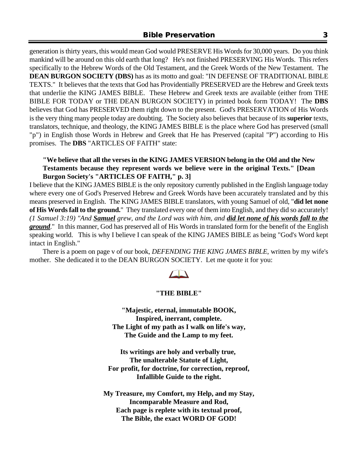generation is thirty years, this would mean God would PRESERVE His Words for 30,000 years. Do you think mankind will be around on this old earth that long? He's not finished PRESERVING His Words. This refers specifically to the Hebrew Words of the Old Testament, and the Greek Words of the New Testament. The **DEAN BURGON SOCIETY (DBS)** has as its motto and goal: "IN DEFENSE OF TRADITIONAL BIBLE TEXTS." It believes that the texts that God has Providentially PRESERVED are the Hebrew and Greek texts that underlie the KING JAMES BIBLE. These Hebrew and Greek texts are available (either from THE BIBLE FOR TODAY or THE DEAN BURGON SOCIETY) in printed book form TODAY! The **DBS** believes that God has PRESERVED them right down to the present. God's PRESERVATION of His Words is the very thing many people today are doubting. The Society also believes that because of its **superior** texts, translators, technique, and theology, the KING JAMES BIBLE is the place where God has preserved (small "p") in English those Words in Hebrew and Greek that He has Preserved (capital "P") according to His promises. The **DBS** "ARTICLES OF FAITH" state:

#### **"We believe that all the verses in the KING JAMES VERSION belong in the Old and the New Testaments because they represent words we believe were in the original Texts." [Dean Burgon Society's "ARTICLES OF FAITH," p. 3]**

I believe that the KING JAMES BIBLE is the only repository currently published in the English language today where every one of God's Preserved Hebrew and Greek Words have been accurately translated and by this means preserved in English. The KING JAMES BIBLE translators, with young Samuel of old, "**did let none of His Words fall to the ground.**" They translated every one of them into English, and they did so accurately! *(1 Samuel 3:19) "And Samuel grew, and the Lord was with him, and did let none of his words fall to the ground*." In this manner, God has preserved all of His Words in translated form for the benefit of the English speaking world. This is why I believe I can speak of the KING JAMES BIBLE as being "God's Word kept intact in English."

There is a poem on page v of our book, *DEFENDING THE KING JAMES BIBLE*, written by my wife's mother. She dedicated it to the DEAN BURGON SOCIETY. Let me quote it for you:



#### **"THE BIBLE"**

**"Majestic, eternal, immutable BOOK, Inspired, inerrant, complete. The Light of my path as I walk on life's way, The Guide and the Lamp to my feet.**

**Its writings are holy and verbally true, The unalterable Statute of Light, For profit, for doctrine, for correction, reproof, Infallible Guide to the right.**

**My Treasure, my Comfort, my Help, and my Stay, Incomparable Measure and Rod, Each page is replete with its textual proof, The Bible, the exact WORD OF GOD!**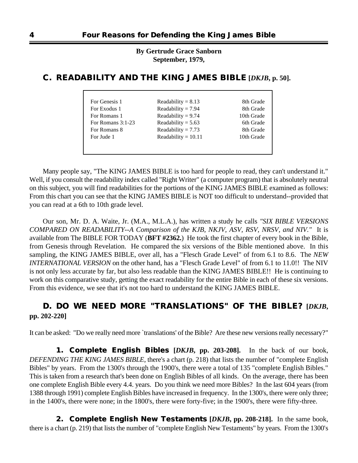**By Gertrude Grace Sanborn September, 1979,**

| For Genesis 1       | Readability = $8.13$  | 8th Grade  |
|---------------------|-----------------------|------------|
| For Exodus 1        | Readability = $7.94$  | 8th Grade  |
| For Romans 1        | Readability = $9.74$  | 10th Grade |
| For Romans $3:1-23$ | Readability = $5.63$  | 6th Grade  |
| For Romans 8        | Readability = $7.73$  | 8th Grade  |
| For Jude 1          | Readability = $10.11$ | 10th Grade |

#### **C. READABILITY AND THE KING JAMES BIBLE [***DKJB***, p. 50].**

Many people say, "The KING JAMES BIBLE is too hard for people to read, they can't understand it." Well, if you consult the readability index called "Right Writer" (a computer program) that is absolutely neutral on this subject, you will find readabilities for the portions of the KING JAMES BIBLE examined as follows: From this chart you can see that the KING JAMES BIBLE is NOT too difficult to understand--provided that you can read at a 6th to 10th grade level.

Our son, Mr. D. A. Waite, Jr. (M.A., M.L.A.), has written a study he calls *"SIX BIBLE VERSIONS COMPARED ON READABILITY--A Comparison of the KJB, NKJV, ASV, RSV, NRSV, and NIV."* It is available from The BIBLE FOR TODAY (**BFT #2362.**) He took the first chapter of every book in the Bible, from Genesis through Revelation. He compared the six versions of the Bible mentioned above. In this sampling, the KING JAMES BIBLE, over all, has a "Flesch Grade Level" of from 6.1 to 8.6. The *NEW INTERNATIONAL VERSION* on the other hand, has a "Flesch Grade Level" of from 6.1 to 11.0!! The NIV is not only less accurate by far, but also less readable than the KING JAMES BIBLE!! He is continuing to work on this comparative study, getting the exact readability for the entire Bible in each of these six versions. From this evidence, we see that it's not too hard to understand the KING JAMES BIBLE.

#### **D. DO WE NEED MORE "TRANSLATIONS" OF THE BIBLE? [***DKJB***, pp. 202-220]**

It can be asked: "Do we really need more `translations' of the Bible? Are these new versions really necessary?"

**1. Complete English Bibles [***DKJB***, pp. 203-208].** In the back of our book, *DEFENDING THE KING JAMES BIBLE*, there's a chart (p. 218) that lists the number of "complete English Bibles" by years. From the 1300's through the 1900's, there were a total of 135 "complete English Bibles." This is taken from a research that's been done on English Bibles of all kinds. On the average, there has been one complete English Bible every 4.4. years. Do you think we need more Bibles? In the last 604 years (from 1388 through 1991) complete English Bibles have increased in frequency. In the 1300's, there were only three; in the 1400's, there were none; in the 1800's, there were forty-five; in the 1900's, there were fifty-three.

**2. Complete English New Testaments [***DKJB***, pp. 208-218].** In the same book, there is a chart (p. 219) that lists the number of "complete English New Testaments" by years. From the 1300's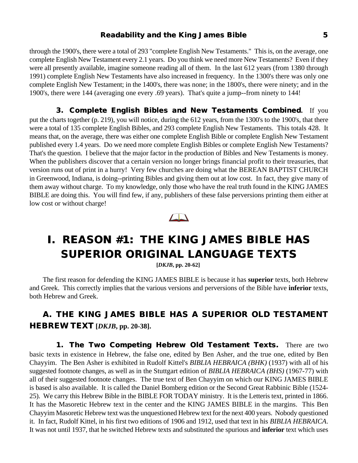#### **Readability and the King James Bible 5**

through the 1900's, there were a total of 293 "complete English New Testaments." This is, on the average, one complete English New Testament every 2.1 years. Do you think we need more New Testaments? Even if they were all presently available, imagine someone reading all of them. In the last 612 years (from 1380 through 1991) complete English New Testaments have also increased in frequency. In the 1300's there was only one complete English New Testament; in the 1400's, there was none; in the 1800's, there were ninety; and in the 1900's, there were 144 (averaging one every .69 years). That's quite a jump--from ninety to 144!

**3. Complete English Bibles and New Testaments Combined.** If you put the charts together (p. 219), you will notice, during the 612 years, from the 1300's to the 1900's, that there were a total of 135 complete English Bibles, and 293 complete English New Testaments. This totals 428. It means that, on the average, there was either one complete English Bible or complete English New Testament published every 1.4 years. Do we need more complete English Bibles or complete English New Testaments? That's the question. I believe that the major factor in the production of Bibles and New Testaments is money. When the publishers discover that a certain version no longer brings financial profit to their treasuries, that version runs out of print in a hurry! Very few churches are doing what the BEREAN BAPTIST CHURCH in Greenwood, Indiana, is doing--printing Bibles and giving them out at low cost. In fact, they give many of them away without charge. To my knowledge, only those who have the real truth found in the KING JAMES BIBLE are doing this. You will find few, if any, publishers of these false perversions printing them either at low cost or without charge!



## **I. REASON #1: THE KING JAMES BIBLE HAS SUPERIOR ORIGINAL LANGUAGE TEXTS**

**[***DKJB***, pp. 20-62]**

The first reason for defending the KING JAMES BIBLE is because it has **superior** texts, both Hebrew and Greek. This correctly implies that the various versions and perversions of the Bible have **inferior** texts, both Hebrew and Greek.

#### **A. THE KING JAMES BIBLE HAS A SUPERIOR OLD TESTAMENT HEBREW TEXT [***DKJB***, pp. 20-38].**

**1. The Two Competing Hebrew Old Testament Texts.** There are two basic texts in existence in Hebrew, the false one, edited by Ben Asher, and the true one, edited by Ben Chayyim. The Ben Asher is exhibited in Rudolf Kittel's *BIBLIA HEBRAICA (BHK)* (1937) with all of his suggested footnote changes, as well as in the Stuttgart edition of *BIBLIA HEBRAICA (BHS)* (1967-77) with all of their suggested footnote changes. The true text of Ben Chayyim on which our KING JAMES BIBLE is based is also available. It is called the Daniel Bomberg edition or the Second Great Rabbinic Bible (1524- 25). We carry this Hebrew Bible in the BIBLE FOR TODAY ministry. It is the Letteris text, printed in 1866. It has the Masoretic Hebrew text in the center and the KING JAMES BIBLE in the margins. This Ben Chayyim Masoretic Hebrew text was the unquestioned Hebrew text for the next 400 years. Nobody questioned it. In fact, Rudolf Kittel, in his first two editions of 1906 and 1912, used that text in his *BIBLIA HEBRAICA*. It was not until 1937, that he switched Hebrew texts and substituted the spurious and **inferior** text which uses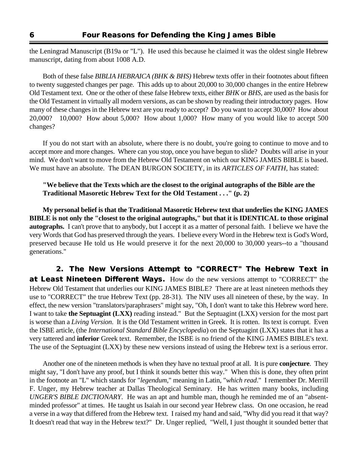the Leningrad Manuscript (B19a or "L"). He used this because he claimed it was the oldest single Hebrew manuscript, dating from about 1008 A.D.

Both of these false *BIBLIA HEBRAICA (BHK & BHS)* Hebrew texts offer in their footnotes about fifteen to twenty suggested changes per page. This adds up to about 20,000 to 30,000 changes in the entire Hebrew Old Testament text. One or the other of these false Hebrew texts, either *BHK* or *BHS*, are used as the basis for the Old Testament in virtually all modern versions, as can be shown by reading their introductory pages. How many of these changes in the Hebrew text are you ready to accept? Do you want to accept 30,000? How about 20,000? 10,000? How about 5,000? How about 1,000? How many of you would like to accept 500 changes?

If you do not start with an absolute, where there is no doubt, you're going to continue to move and to accept more and more changes. Where can you stop, once you have begun to slide? Doubts will arise in your mind. We don't want to move from the Hebrew Old Testament on which our KING JAMES BIBLE is based. We must have an absolute. The DEAN BURGON SOCIETY, in its *ARTICLES OF FAITH*, has stated:

#### **"We believe that the Texts which are the closest to the original autographs of the Bible are the Traditional Masoretic Hebrew Text for the Old Testament . . ." (p. 2)**

**My personal belief is that the Traditional Masoretic Hebrew text that underlies the KING JAMES BIBLE is not only the "closest to the original autographs," but that it is IDENTICAL to those original autographs.** I can't prove that to anybody, but I accept it as a matter of personal faith. I believe we have the very Words that God has preserved through the years. I believe every Word in the Hebrew text is God's Word, preserved because He told us He would preserve it for the next 20,000 to 30,000 years--to a "thousand generations."

**2. The New Versions Attempt to "CORRECT" The Hebrew Text in at Least Nineteen Different Ways.** How do the new versions attempt to "CORRECT" the Hebrew Old Testament that underlies our KING JAMES BIBLE? There are at least nineteen methods they use to "CORRECT" the true Hebrew Text (pp. 28-31). The NIV uses all nineteen of these, by the way. In effect, the new version "translators/paraphrasers" might say, "Oh, I don't want to take this Hebrew word here. I want to take **the Septuagint (LXX)** reading instead." But the Septuagint (LXX) version for the most part is worse than a *Living Version*. It is the Old Testament written in Greek. It is rotten. Its text is corrupt. Even the ISBE article, (the *International Standard Bible Encyclopedia*) on the Septuagint (LXX) states that it has a very tattered and **inferior** Greek text. Remember, the ISBE is no friend of the KING JAMES BIBLE's text. The use of the Septuagint (LXX) by these new versions instead of using the Hebrew text is a serious error.

Another one of the nineteen methods is when they have no textual proof at all. It is pure **conjecture**. They might say, "I don't have any proof, but I think it sounds better this way." When this is done, they often print in the footnote an "L" which stands for "*legendum*," meaning in Latin, "*which read*." I remember Dr. Merrill F. Unger, my Hebrew teacher at Dallas Theological Seminary. He has written many books, including *UNGER'S BIBLE DICTIONARY*. He was an apt and humble man, though he reminded me of an "absentminded professor" at times. He taught us Isaiah in our second year Hebrew class. On one occasion, he read a verse in a way that differed from the Hebrew text. I raised my hand and said, "Why did you read it that way? It doesn't read that way in the Hebrew text?" Dr. Unger replied, "Well, I just thought it sounded better that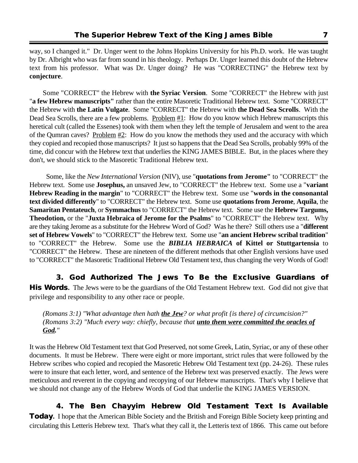way, so I changed it." Dr. Unger went to the Johns Hopkins University for his Ph.D. work. He was taught by Dr. Albright who was far from sound in his theology. Perhaps Dr. Unger learned this doubt of the Hebrew text from his professor. What was Dr. Unger doing? He was "CORRECTING" the Hebrew text by **conjecture**.

Some "CORRECT" the Hebrew with **the Syriac Version**. Some "CORRECT" the Hebrew with just "**a few Hebrew manuscripts"** rather than the entire Masoretic Traditional Hebrew text. Some "CORRECT" the Hebrew with **the Latin Vulgate**. Some "CORRECT" the Hebrew with **the Dead Sea Scrolls**. With the Dead Sea Scrolls, there are a few problems. Problem  $#1$ : How do you know which Hebrew manuscripts this heretical cult (called the Essenes) took with them when they left the temple of Jerusalem and went to the area of the Qumran caves? Problem  $#2$ : How do you know the methods they used and the accuracy with which they copied and recopied those manuscripts? It just so happens that the Dead Sea Scrolls, probably 99% of the time, did concur with the Hebrew text that underlies the KING JAMES BIBLE. But, in the places where they don't, we should stick to the Masoretic Traditional Hebrew text.

 Some, like the *New International Version* (NIV), use "**quotations from Jerome"** to "CORRECT" the Hebrew text. Some use **Josephus,** an unsaved Jew, to "CORRECT" the Hebrew text. Some use a "**variant Hebrew Reading in the margin**" to "CORRECT" the Hebrew text. Some use "**words in the consonantal text divided differently**" to "CORRECT" the Hebrew text. Some use **quotations from Jerome**, **Aquila**, the **Samaritan Pentateuch**, or **Symmachus** to "CORRECT" the Hebrew text. Some use the **Hebrew Targums, Theodotion,** or the "**Juxta Hebraica of Jerome for the Psalms**" to "CORRECT" the Hebrew text. Why are they taking Jerome as a substitute for the Hebrew Word of God? Was he there? Still others use a "**different set of Hebrew Vowels**" to "CORRECT" the Hebrew text. Some use "**an ancient Hebrew scribal tradition**" to "CORRECT" the Hebrew. Some use the *BIBLIA HEBRAICA* **of Kittel or Stuttgartensia** to "CORRECT" the Hebrew. These are nineteen of the different methods that other English versions have used to "CORRECT" the Masoretic Traditional Hebrew Old Testament text, thus changing the very Words of God!

**3. God Authorized The Jews To Be the Exclusive Guardians of His Words.** The Jews were to be the guardians of the Old Testament Hebrew text. God did not give that privilege and responsibility to any other race or people.

*(Romans 3:1) "What advantage then hath the Jew? or what profit {is there} of circumcision?" (Romans 3:2) "Much every way: chiefly, because that unto them were committed the oracles of God."*

It was the Hebrew Old Testament text that God Preserved, not some Greek, Latin, Syriac, or any of these other documents. It must be Hebrew. There were eight or more important, strict rules that were followed by the Hebrew scribes who copied and recopied the Masoretic Hebrew Old Testament text (pp. 24-26). These rules were to insure that each letter, word, and sentence of the Hebrew text was preserved exactly. The Jews were meticulous and reverent in the copying and recopying of our Hebrew manuscripts. That's why I believe that we should not change any of the Hebrew Words of God that underlie the KING JAMES VERSION.

**4. The Ben Chayyim Hebrew Old Testament Text Is Available Today.** I hope that the American Bible Society and the British and Foreign Bible Society keep printing and circulating this Letteris Hebrew text. That's what they call it, the Letteris text of 1866. This came out before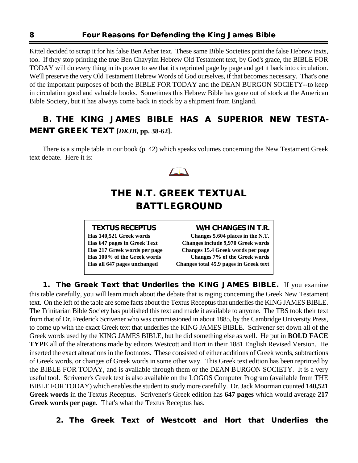Kittel decided to scrap it for his false Ben Asher text. These same Bible Societies print the false Hebrew texts, too. If they stop printing the true Ben Chayyim Hebrew Old Testament text, by God's grace, the BIBLE FOR TODAY will do every thing in its power to see that it's reprinted page by page and get it back into circulation. We'll preserve the very Old Testament Hebrew Words of God ourselves, if that becomes necessary. That's one of the important purposes of both the BIBLE FOR TODAY and the DEAN BURGON SOCIETY--to keep in circulation good and valuable books. Sometimes this Hebrew Bible has gone out of stock at the American Bible Society, but it has always come back in stock by a shipment from England.

### **B. THE KING JAMES BIBLE HAS A SUPERIOR NEW TESTA-MENT GREEK TEXT [***DKJB***, pp. 38-62].**

There is a simple table in our book (p. 42) which speaks volumes concerning the New Testament Greek text debate. Here it is:



## **THE N.T. GREEK TEXTUAL BATTLEGROUND**

| <b>TEXTUS RECEPTUS</b>       | <b>W/H CHANGES IN T.R.</b>               |
|------------------------------|------------------------------------------|
| Has 140,521 Greek words      | Changes 5,604 places in the N.T.         |
| Has 647 pages in Greek Text  | <b>Changes include 9,970 Greek words</b> |
| Has 217 Greek words per page | Changes 15.4 Greek words per page        |
| Has 100% of the Greek words  | Changes 7% of the Greek words            |
| Has all 647 pages unchanged  | Changes total 45.9 pages in Greek text   |
|                              |                                          |

**1. The Greek Text that Underlies the KING JAMES BIBLE.** If you examine this table carefully, you will learn much about the debate that is raging concerning the Greek New Testament text. On the left of the table are some facts about the Textus Receptus that underlies the KING JAMES BIBLE. The Trinitarian Bible Society has published this text and made it available to anyone. The TBS took their text from that of Dr. Frederick Scrivener who was commissioned in about 1885, by the Cambridge University Press, to come up with the exact Greek text that underlies the KING JAMES BIBLE. Scrivener set down all of the Greek words used by the KING JAMES BIBLE, but he did something else as well. He put in **BOLD FACE TYPE** all of the alterations made by editors Westcott and Hort in their 1881 English Revised Version. He inserted the exact alterations in the footnotes. These consisted of either additions of Greek words, subtractions of Greek words, or changes of Greek words in some other way. This Greek text edition has been reprinted by the BIBLE FOR TODAY, and is available through them or the DEAN BURGON SOCIETY. It is a very useful tool. Scrivener's Greek text is also available on the LOGOS Computer Program (available from THE BIBLE FOR TODAY) which enables the student to study more carefully. Dr. Jack Moorman counted **140,521 Greek words** in the Textus Receptus. Scrivener's Greek edition has **647 pages** which would average **217 Greek words per page**. That's what the Textus Receptus has.

**2. The Greek Text of Westcott and Hort that Underlies the**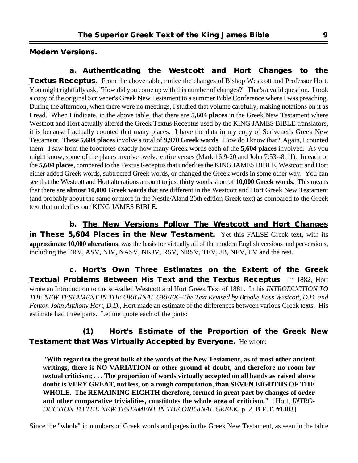**Modern Versions.**

**a. Authenticating the Westcott and Hort Changes to the Textus Receptus**. From the above table, notice the changes of Bishop Westcott and Professor Hort. You might rightfully ask, "How did you come up with this number of changes?" That's a valid question. I took a copy of the original Scrivener's Greek New Testament to a summer Bible Conference where I was preaching. During the afternoon, when there were no meetings, I studied that volume carefully, making notations on it as I read. When I indicate, in the above table, that there are **5,604 places** in the Greek New Testament where Westcott and Hort actually altered the Greek Textus Receptus used by the KING JAMES BIBLE translators, it is because I actually counted that many places. I have the data in my copy of Scrivener's Greek New Testament. These **5,604 places** involve a total of **9,970 Greek words**. How do I know that? Again, I counted them. I saw from the footnotes exactly how many Greek words each of the **5,604 places** involved. As you might know, some of the places involve twelve entire verses (Mark 16:9-20 and John 7:53--8:11). In each of the **5,604 places**, compared to the Textus Receptus that underlies the KING JAMES BIBLE, Westcott and Hort either added Greek words, subtracted Greek words, or changed the Greek words in some other way. You can see that the Westcott and Hort alterations amount to just thirty words short of **10,000 Greek words.** This means that there are **almost 10,000 Greek words** that are different in the Westcott and Hort Greek New Testament (and probably about the same or more in the Nestle/Aland 26th edition Greek text) as compared to the Greek text that underlies our KING JAMES BIBLE.

**b. The New Versions Follow The Westcott and Hort Changes in These 5,604 Places in the New Testament.** Yet this FALSE Greek text, with its **approximate 10,000 alterations**, was the basis for virtually all of the modern English versions and perversions, including the ERV, ASV, NIV, NASV, NKJV, RSV, NRSV, TEV, JB, NEV, LV and the rest.

**c. Hort's Own Three Estimates on the Extent of the Greek Textual Problems Between His Text and the Textus Receptus**. In 1882, Hort wrote an Introduction to the so-called Westcott and Hort Greek Text of 1881. In his *INTRODUCTION TO THE NEW TESTAMENT IN THE ORIGINAL GREEK--The Text Revised by Brooke Foss Westcott, D.D. and Fenton John Anthony Hort, D.D.*, Hort made an estimate of the differences between various Greek texts. His estimate had three parts. Let me quote each of the parts:

#### **(1) Hort's Estimate of the Proportion of the Greek New Testament that Was Virtually Accepted by Everyone.** He wrote:

**"With regard to the great bulk of the words of the New Testament, as of most other ancient writings, there is NO VARIATION or other ground of doubt, and therefore no room for textual criticism; . . . The proportion of words virtually accepted on all hands as raised above doubt is VERY GREAT, not less, on a rough computation, than SEVEN EIGHTHS OF THE WHOLE. The REMAINING EIGHTH therefore, formed in great part by changes of order and other comparative trivialities, constitutes the whole area of criticism."** [Hort, *INTRO-DUCTION TO THE NEW TESTAMENT IN THE ORIGINAL GREEK*, p. 2, **B.F.T. #1303**]

Since the "whole" in numbers of Greek words and pages in the Greek New Testament, as seen in the table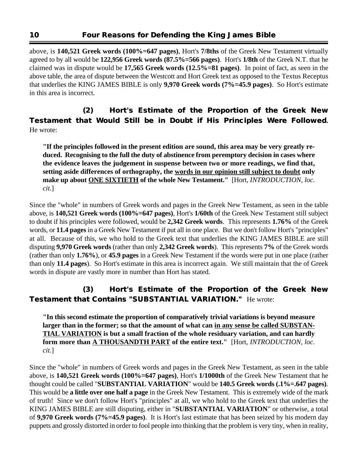above, is **140,521 Greek words (100%=647 pages)**, Hort's **7/8ths** of the Greek New Testament virtually agreed to by all would be **122,956 Greek words (87.5%=566 pages)**. Hort's **1/8th** of the Greek N.T. that he claimed was in dispute would be **17,565 Greek words (12.5%=81 pages)**. In point of fact, as seen in the above table, the area of dispute between the Westcott and Hort Greek text as opposed to the Textus Receptus that underlies the KING JAMES BIBLE is only **9,970 Greek words (7%=45.9 pages)**. So Hort's estimate in this area is incorrect.

#### **(2) Hort's Estimate of the Proportion of the Greek New Testament that Would Still be in Doubt if His Principles Were Followed.** He wrote:

**"If the principles followed in the present edition are sound, this area may be very greatly reduced. Recognising to the full the duty of abstinence from peremptory decision in cases where the evidence leaves the judgement in suspense between two or more readings, we find that, setting aside differences of orthography, the words in our opinion still subject to doubt only make up about ONE SIXTIETH of the whole New Testament."** [Hort, *INTRODUCTION*, *loc. cit.*]

Since the "whole" in numbers of Greek words and pages in the Greek New Testament, as seen in the table above, is **140,521 Greek words (100%=647 pages)**, Hort's **1/60th** of the Greek New Testament still subject to doubt if his principles were followed, would be **2,342 Greek words**. This represents **1.76%** of the Greek words, or **11.4 pages** in a Greek New Testament if put all in one place. But we don't follow Hort's "principles" at all. Because of this, we who hold to the Greek text that underlies the KING JAMES BIBLE are still disputing **9,970 Greek words** (rather than only **2,342 Greek words**). This represents **7%** of the Greek words (rather than only **1.76%**), or **45.9 pages** in a Greek New Testament if the words were put in one place (rather than only **11.4 pages**). So Hort's estimate in this area is incorrect again. We still maintain that the of Greek words in dispute are vastly more in number than Hort has stated.

#### **(3) Hort's Estimate of the Proportion of the Greek New Testament that Contains "SUBSTANTIAL VARIATION."** He wrote:

**"In this second estimate the proportion of comparatively trivial variations is beyond measure** larger than in the former; so that the amount of what can in any sense be called SUBSTAN-**TIAL VARIATION is but a small fraction of the whole residuary variation, and can hardly form more than A THOUSANDTH PART of the entire text."** [Hort, *INTRODUCTION, loc. cit.*]

Since the "whole" in numbers of Greek words and pages in the Greek New Testament, as seen in the table above, is **140,521 Greek words (100%=647 pages)**, Hort's **1/1000th** of the Greek New Testament that he thought could be called "**SUBSTANTIAL VARIATION**" would be **140.5 Greek words (.1%=.647 pages)**. This would be **a little over one half a page** in the Greek New Testament. This is extremely wide of the mark of truth! Since we don't follow Hort's "principles" at all, we who hold to the Greek text that underlies the KING JAMES BIBLE are still disputing, either in "**SUBSTANTIAL VARIATION**" or otherwise, a total of **9,970 Greek words (7%=45.9 pages)**. It is Hort's last estimate that has been seized by his modern day puppets and grossly distorted in order to fool people into thinking that the problem is very tiny, when in reality,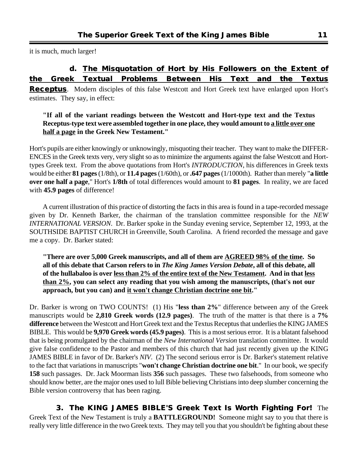it is much, much larger!

#### **d. The Misquotation of Hort by His Followers on the Extent of the Greek Textual Problems Between His Text and the Textus**

**Receptus**. Modern disciples of this false Westcott and Hort Greek text have enlarged upon Hort's estimates. They say, in effect:

#### **"If all of the variant readings between the Westcott and Hort-type text and the Textus Receptus-type text were assembled together in one place, they would amount to a little over one half a page in the Greek New Testament."**

Hort's pupils are either knowingly or unknowingly, misquoting their teacher. They want to make the DIFFER-ENCES in the Greek texts very, very slight so as to minimize the arguments against the false Westcott and Horttypes Greek text. From the above quotations from Hort's *INTRODUCTION*, his differences in Greek texts would be either **81 pages** (1/8th), or **11.4 pages** (1/60th), or **.647 pages** (1/1000th). Rather than merely "**a little over one half a page**," Hort's **1/8th** of total differences would amount to **81 pages**. In reality, we are faced with **45.9 pages** of difference!

A current illustration of this practice of distorting the facts in this area is found in a tape-recorded message given by Dr. Kenneth Barker, the chairman of the translation committee responsible for the *NEW INTERNATIONAL VERSION*. Dr. Barker spoke in the Sunday evening service, September 12, 1993, at the SOUTHSIDE BAPTIST CHURCH in Greenville, South Carolina. A friend recorded the message and gave me a copy. Dr. Barker stated:

**"There are over 5,000 Greek manuscripts, and all of them are AGREED 98% of the time. So all of this debate that Carson refers to in** *The King James Version Debate***, all of this debate, all of the hullabaloo is over less than 2% of the entire text of the New Testament. And in that less than 2%, you can select any reading that you wish among the manuscripts, (that's not our approach, but you can) and it won't change Christian doctrine one bit."**

Dr. Barker is wrong on TWO COUNTS! (1) His "**less than 2%**" difference between any of the Greek manuscripts would be **2,810 Greek words (12.9 pages)**. The truth of the matter is that there is a **7% difference** between the Westcott and Hort Greek text and the Textus Receptus that underlies the KING JAMES BIBLE. This would be **9,970 Greek words (45.9 pages)**. This is a most serious error. It is a blatant falsehood that is being promulgated by the chairman of the *New International Version* translation committee. It would give false confidence to the Pastor and members of this church that had just recently given up the KING JAMES BIBLE in favor of Dr. Barker's *NIV*. (2) The second serious error is Dr. Barker's statement relative to the fact that variations in manuscripts "**won't change Christian doctrine one bit**." In our book, we specify **158** such passages. Dr. Jack Moorman lists **356** such passages. These two falsehoods, from someone who should know better, are the major ones used to lull Bible believing Christians into deep slumber concerning the Bible version controversy that has been raging.

**3. The KING JAMES BIBLE'S Greek Text Is Worth Fighting For!** The Greek Text of the New Testament is truly a **BATTLEGROUND!** Someone might say to you that there is really very little difference in the two Greek texts. They may tell you that you shouldn't be fighting about these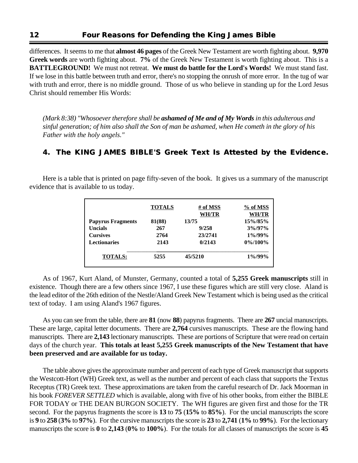differences. It seems to me that **almost 46 pages** of the Greek New Testament are worth fighting about. **9,970 Greek words** are worth fighting about. **7%** of the Greek New Testament is worth fighting about. This is a **BATTLEGROUND!** We must not retreat. **We must do battle for the Lord's Words!** We must stand fast. If we lose in this battle between truth and error, there's no stopping the onrush of more error. In the tug of war with truth and error, there is no middle ground. Those of us who believe in standing up for the Lord Jesus Christ should remember His Words:

*(Mark 8:38) "Whosoever therefore shall be ashamed of Me and of My Words in this adulterous and sinful generation; of him also shall the Son of man be ashamed, when He cometh in the glory of his Father with the holy angels."*

#### **4. The KING JAMES BIBLE'S Greek Text Is Attested by the Evidence.**

Here is a table that is printed on page fifty-seven of the book. It gives us a summary of the manuscript evidence that is available to us today.

|                          | <b>TOTALS</b> | # of MSS<br><b>WH/TR</b> | % of MSS<br><b>WH/TR</b> |
|--------------------------|---------------|--------------------------|--------------------------|
| <b>Papyrus Fragments</b> | 81(88)        | 13/75                    | 15%/85%                  |
| <b>Uncials</b>           | 267           | 9/258                    | $3\%/97\%$               |
| <b>Cursives</b>          | 2764          | 23/2741                  | $1\%/99\%$               |
| <b>Lectionaries</b>      | 2143          | 0/2143                   | $0\%/100\%$              |
| <b>TOTALS:</b>           | 5255          | 45/5210                  | $1\%/99\%$               |

As of 1967, Kurt Aland, of Munster, Germany, counted a total of **5,255 Greek manuscripts** still in existence. Though there are a few others since 1967, I use these figures which are still very close. Aland is the lead editor of the 26th edition of the Nestle/Aland Greek New Testament which is being used as the critical text of today. I am using Aland's 1967 figures.

As you can see from the table, there are **81** (now **88**) papyrus fragments. There are **267** uncial manuscripts. These are large, capital letter documents. There are **2,764** cursives manuscripts. These are the flowing hand manuscripts. There are **2,143** lectionary manuscripts. These are portions of Scripture that were read on certain days of the church year. **This totals at least 5,255 Greek manuscripts of the New Testament that have been preserved and are available for us today.**

The table above gives the approximate number and percent of each type of Greek manuscript that supports the Westcott-Hort (WH) Greek text, as well as the number and percent of each class that supports the Textus Receptus (TR) Greek text. These approximations are taken from the careful research of Dr. Jack Moorman in his book *FOREVER SETTLED* which is available, along with five of his other books, from either the BIBLE FOR TODAY or THE DEAN BURGON SOCIETY. The WH figures are given first and those for the TR second. For the papyrus fragments the score is **13** to **75** (**15%** to **85%**). For the uncial manuscripts the score is **9** to **258** (**3%** to **97%**). For the cursive manuscripts the score is **23** to **2,741** (**1%** to **99%**). For the lectionary manuscripts the score is **0** to **2,143** (**0%** to **100%**). For the totals for all classes of manuscripts the score is **45**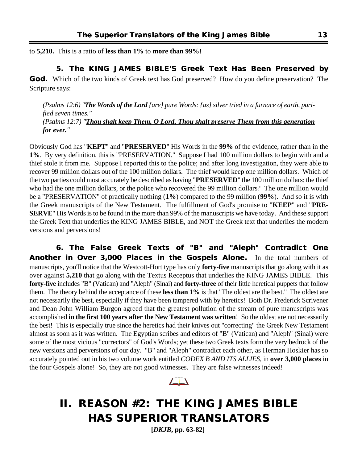to **5,210.** This is a ratio of **less than 1%** to **more than 99%!**

#### **5. The KING JAMES BIBLE'S Greek Text Has Been Preserved by**

**God.** Which of the two kinds of Greek text has God preserved? How do you define preservation? The Scripture says:

*(Psalms 12:6) "The Words of the Lord {are} pure Words: {as} silver tried in a furnace of earth, purified seven times." (Psalms 12:7) "Thou shalt keep Them, O Lord, Thou shalt preserve Them from this generation for ever."*

Obviously God has "**KEPT**" and "**PRESERVED**" His Words in the **99%** of the evidence, rather than in the **1%**. By very definition, this is "PRESERVATION." Suppose I had 100 million dollars to begin with and a thief stole it from me. Suppose I reported this to the police; and after long investigation, they were able to recover 99 million dollars out of the 100 million dollars. The thief would keep one million dollars. Which of the two parties could most accurately be described as having "**PRESERVED**" the 100 million dollars: the thief who had the one million dollars, or the police who recovered the 99 million dollars? The one million would be a "PRESERVATION" of practically nothing (**1%**) compared to the 99 million (**99%**). And so it is with the Greek manuscripts of the New Testament. The fulfillment of God's promise to "**KEEP**" and "**PRE-SERVE**" His Words is to be found in the more than 99% of the manuscripts we have today. And these support the Greek Text that underlies the KING JAMES BIBLE, and NOT the Greek text that underlies the modern versions and perversions!

**6. The False Greek Texts of "B" and "Aleph" Contradict One Another in Over 3,000 Places in the Gospels Alone.** In the total numbers of manuscripts, you'll notice that the Westcott-Hort type has only **forty-five** manuscripts that go along with it as over against **5,210** that go along with the Textus Receptus that underlies the KING JAMES BIBLE. This **forty-five** includes "B" (Vatican) and "Aleph" (Sinai) and **forty-three** of their little heretical puppets that follow them. The theory behind the acceptance of these **less than 1%** is that "The oldest are the best." The oldest are not necessarily the best, especially if they have been tampered with by heretics! Both Dr. Frederick Scrivener and Dean John William Burgon agreed that the greatest pollution of the stream of pure manuscripts was accomplished **in the first 100 years after the New Testament was written**! So the oldest are not necessarily the best! This is especially true since the heretics had their knives out "correcting" the Greek New Testament almost as soon as it was written. The Egyptian scribes and editors of "B" (Vatican) and "Aleph" (Sinai) were some of the most vicious "correctors" of God's Words; yet these two Greek texts form the very bedrock of the new versions and perversions of our day. "B" and "Aleph" contradict each other, as Herman Hoskier has so accurately pointed out in his two volume work entitled *CODEX B AND ITS ALLIES*, in **over 3,000 places** in the four Gospels alone! So, they are not good witnesses. They are false witnesses indeed!



## **II. REASON #2: THE KING JAMES BIBLE HAS SUPERIOR TRANSLATORS**

**[***DKJB***, pp. 63-82]**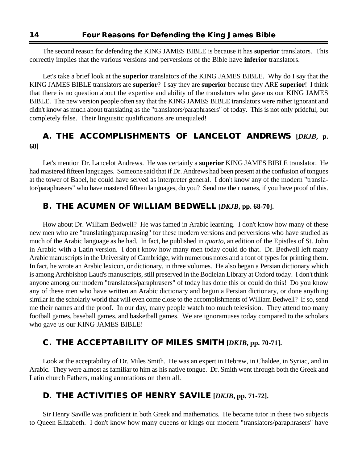The second reason for defending the KING JAMES BIBLE is because it has **superior** translators. This correctly implies that the various versions and perversions of the Bible have **inferior** translators.

Let's take a brief look at the **superior** translators of the KING JAMES BIBLE. Why do I say that the KING JAMES BIBLE translators are **superior**? I say they are **superior** because they ARE **superior**! I think that there is no question about the expertise and ability of the translators who gave us our KING JAMES BIBLE. The new version people often say that the KING JAMES BIBLE translators were rather ignorant and didn't know as much about translating as the "translators/paraphrasers" of today. This is not only prideful, but completely false. Their linguistic qualifications are unequaled!

#### **A. THE ACCOMPLISHMENTS OF LANCELOT ANDREWS [***DKJB***, p. 68]**

Let's mention Dr. Lancelot Andrews. He was certainly a **superior** KING JAMES BIBLE translator. He had mastered fifteen languages. Someone said that if Dr. Andrews had been present at the confusion of tongues at the tower of Babel, he could have served as interpreter general. I don't know any of the modern "translator/paraphrasers" who have mastered fifteen languages, do you? Send me their names, if you have proof of this.

#### **B. THE ACUMEN OF WILLIAM BEDWELL [***DKJB***, pp. 68-70].**

How about Dr. William Bedwell? He was famed in Arabic learning. I don't know how many of these new men who are "translating/paraphrasing" for these modern versions and perversions who have studied as much of the Arabic language as he had. In fact, he published in *quarto*, an edition of the Epistles of St. John in Arabic with a Latin version. I don't know how many men today could do that. Dr. Bedwell left many Arabic manuscripts in the University of Cambridge, with numerous notes and a font of types for printing them. In fact, he wrote an Arabic lexicon, or dictionary, in three volumes. He also began a Persian dictionary which is among Archbishop Laud's manuscripts, still preserved in the Bodleian Library at Oxford today. I don't think anyone among our modern "translators/paraphrasers" of today has done this or could do this! Do you know any of these men who have written an Arabic dictionary and begun a Persian dictionary, or done anything similar in the scholarly world that will even come close to the accomplishments of William Bedwell? If so, send me their names and the proof. In our day, many people watch too much television. They attend too many football games, baseball games. and basketball games. We are ignoramuses today compared to the scholars who gave us our KING JAMES BIBLE!

#### **C. THE ACCEPTABILITY OF MILES SMITH [***DKJB***, pp. 70-71].**

Look at the acceptability of Dr. Miles Smith. He was an expert in Hebrew, in Chaldee, in Syriac, and in Arabic. They were almost as familiar to him as his native tongue. Dr. Smith went through both the Greek and Latin church Fathers, making annotations on them all.

#### **D. THE ACTIVITIES OF HENRY SAVILE [***DKJB***, pp. 71-72].**

Sir Henry Saville was proficient in both Greek and mathematics. He became tutor in these two subjects to Queen Elizabeth. I don't know how many queens or kings our modern "translators/paraphrasers" have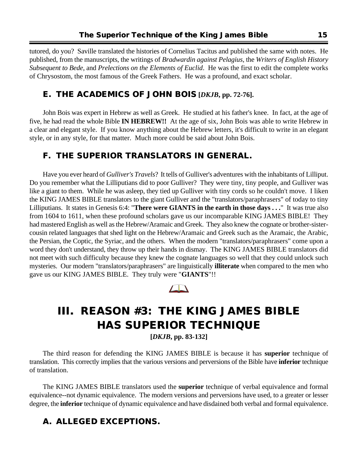tutored, do you? Saville translated the histories of Cornelius Tacitus and published the same with notes. He published, from the manuscripts, the writings of *Bradwardin against Pelagius*, the *Writers of English History Subsequent to Bede*, and *Prelections on the Elements of Euclid*. He was the first to edit the complete works of Chrysostom, the most famous of the Greek Fathers. He was a profound, and exact scholar.

#### **E. THE ACADEMICS OF JOHN BOIS [***DKJB***, pp. 72-76].**

John Bois was expert in Hebrew as well as Greek. He studied at his father's knee. In fact, at the age of five, he had read the whole Bible **IN HEBREW!!** At the age of six, John Bois was able to write Hebrew in a clear and elegant style. If you know anything about the Hebrew letters, it's difficult to write in an elegant style, or in any style, for that matter. Much more could be said about John Bois.

#### **F. THE SUPERIOR TRANSLATORS IN GENERAL.**

Have you ever heard of *Gulliver's Travels*? It tells of Gulliver's adventures with the inhabitants of Lilliput. Do you remember what the Lilliputians did to poor Gulliver? They were tiny, tiny people, and Gulliver was like a giant to them. While he was asleep, they tied up Gulliver with tiny cords so he couldn't move. I liken the KING JAMES BIBLE translators to the giant Gulliver and the "translators/paraphrasers" of today to tiny Lilliputians. It states in Genesis 6:4: "**There were GIANTS in the earth in those days . . .**" It was true also from 1604 to 1611, when these profound scholars gave us our incomparable KING JAMES BIBLE! They had mastered English as well as the Hebrew/Aramaic and Greek. They also knew the cognate or brother-sistercousin related languages that shed light on the Hebrew/Aramaic and Greek such as the Aramaic, the Arabic, the Persian, the Coptic, the Syriac, and the others. When the modern "translators/paraphrasers" come upon a word they don't understand, they throw up their hands in dismay. The KING JAMES BIBLE translators did not meet with such difficulty because they knew the cognate languages so well that they could unlock such mysteries. Our modern "translators/paraphrasers" are linguistically **illiterate** when compared to the men who gave us our KING JAMES BIBLE. They truly were "**GIANTS**"!!

## **III. REASON #3: THE KING JAMES BIBLE HAS SUPERIOR TECHNIQUE**

 **[***DKJB***, pp. 83-132]**

The third reason for defending the KING JAMES BIBLE is because it has **superior** technique of translation. This correctly implies that the various versions and perversions of the Bible have **inferior** technique of translation.

The KING JAMES BIBLE translators used the **superior** technique of verbal equivalence and formal equivalence--not dynamic equivalence. The modern versions and perversions have used, to a greater or lesser degree, the **inferior** technique of dynamic equivalence and have disdained both verbal and formal equivalence.

#### **A. ALLEGED EXCEPTIONS.**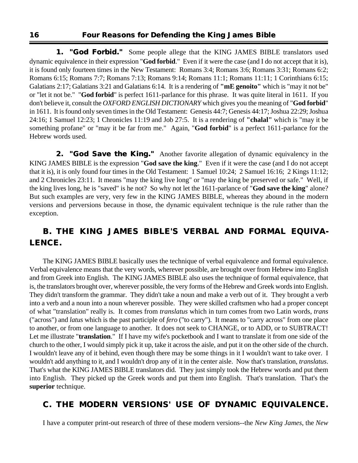**1. "God Forbid."** Some people allege that the KING JAMES BIBLE translators used dynamic equivalence in their expression "**God forbid**." Even if it were the case (and I do not accept that it is), it is found only fourteen times in the New Testament: Romans 3:4; Romans 3:6; Romans 3:31; Romans 6:2; Romans 6:15; Romans 7:7; Romans 7:13; Romans 9:14; Romans 11:1; Romans 11:11; 1 Corinthians 6:15; Galatians 2:17; Galatians 3:21 and Galatians 6:14. It is a rendering of **"mE genoito"** which is "may it not be" or "let it not be." "**God forbid**" is perfect 1611-parlance for this phrase. It was quite literal in 1611. If you don't believe it, consult the *OXFORD ENGLISH DICTIONARY* which gives you the meaning of "**God forbid**" in 1611. It is found only seven times in the Old Testament: Genesis 44:7; Genesis 44:17; Joshua 22:29; Joshua 24:16; 1 Samuel 12:23; 1 Chronicles 11:19 and Job 27:5. It is a rendering of **"chalal"** which is "may it be something profane" or "may it be far from me." Again, "**God forbid**" is a perfect 1611-parlance for the Hebrew words used.

**2. "God Save the King."** Another favorite allegation of dynamic equivalency in the KING JAMES BIBLE is the expression "**God save the king**." Even if it were the case (and I do not accept that it is), it is only found four times in the Old Testament: 1 Samuel 10:24; 2 Samuel 16:16; 2 Kings 11:12; and 2 Chronicles 23:11. It means "may the king live long" or "may the king be preserved or safe." Well, if the king lives long, he is "saved" is he not? So why not let the 1611-parlance of "**God save the king**" alone? But such examples are very, very few in the KING JAMES BIBLE, whereas they abound in the modern versions and perversions because in those, the dynamic equivalent technique is the rule rather than the exception.

#### **B. THE KING JAMES BIBLE'S VERBAL AND FORMAL EQUIVA-LENCE.**

The KING JAMES BIBLE basically uses the technique of verbal equivalence and formal equivalence. Verbal equivalence means that the very words, wherever possible, are brought over from Hebrew into English and from Greek into English. The KING JAMES BIBLE also uses the technique of formal equivalence, that is, the translators brought over, wherever possible, the very forms of the Hebrew and Greek words into English. They didn't transform the grammar. They didn't take a noun and make a verb out of it. They brought a verb into a verb and a noun into a noun wherever possible. They were skilled craftsmen who had a proper concept of what "translation" really is. It comes from *translatus* which in turn comes from two Latin words, *trans* ("across") and *latus* which is the past participle of *fero* ("to carry"). It means to "carry across" from one place to another, or from one language to another. It does not seek to CHANGE, or to ADD, or to SUBTRACT! Let me illustrate "**translation**." If I have my wife's pocketbook and I want to translate it from one side of the church to the other, I would simply pick it up, take it across the aisle, and put it on the other side of the church. I wouldn't leave any of it behind, even though there may be some things in it I wouldn't want to take over. I wouldn't add anything to it, and I wouldn't drop any of it in the center aisle. Now that's translation, *translatus*. That's what the KING JAMES BIBLE translators did. They just simply took the Hebrew words and put them into English. They picked up the Greek words and put them into English. That's translation. That's the **superior** technique.

#### **C. THE MODERN VERSIONS' USE OF DYNAMIC EQUIVALENCE.**

I have a computer print-out research of three of these modern versions--the *New King James*, the *New*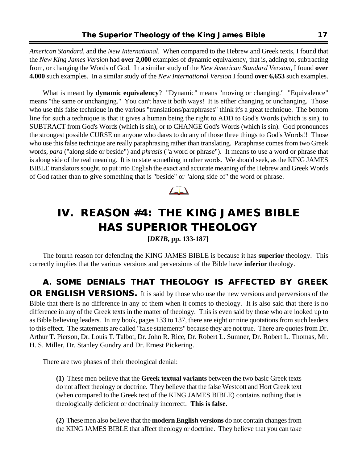*American Standard*, and the *New International*. When compared to the Hebrew and Greek texts, I found that the *New King James Version* had **over 2,000** examples of dynamic equivalency, that is, adding to, subtracting from, or changing the Words of God. In a similar study of the *New American Standard Version*, I found **over 4,000** such examples. In a similar study of the *New International Version* I found **over 6,653** such examples.

What is meant by **dynamic equivalency**? "Dynamic" means "moving or changing." "Equivalence" means "the same or unchanging." You can't have it both ways! It is either changing or unchanging. Those who use this false technique in the various "translations/paraphrases" think it's a great technique. The bottom line for such a technique is that it gives a human being the right to ADD to God's Words (which is sin), to SUBTRACT from God's Words (which is sin), or to CHANGE God's Words (which is sin). God pronounces the strongest possible CURSE on anyone who dares to do any of those three things to God's Words!! Those who use this false technique are really paraphrasing rather than translating. Paraphrase comes from two Greek words, *para* ("along side or beside") and *phrasis* ("a word or phrase"). It means to use a word or phrase that is along side of the real meaning. It is to state something in other words. We should seek, as the KING JAMES BIBLE translators sought, to put into English the exact and accurate meaning of the Hebrew and Greek Words of God rather than to give something that is "beside" or "along side of" the word or phrase.



## **IV. REASON #4: THE KING JAMES BIBLE HAS SUPERIOR THEOLOGY**

**[***DKJB***, pp. 133-187]**

The fourth reason for defending the KING JAMES BIBLE is because it has **superior** theology. This correctly implies that the various versions and perversions of the Bible have **inferior** theology.

**A. SOME DENIALS THAT THEOLOGY IS AFFECTED BY GREEK OR ENGLISH VERSIONS.** It is said by those who use the new versions and perversions of the Bible that there is no difference in any of them when it comes to theology. It is also said that there is no difference in any of the Greek texts in the matter of theology. This is even said by those who are looked up to as Bible believing leaders. In my book, pages 133 to 137, there are eight or nine quotations from such leaders to this effect. The statements are called "false statements" because they are not true. There are quotes from Dr. Arthur T. Pierson, Dr. Louis T. Talbot, Dr. John R. Rice, Dr. Robert L. Sumner, Dr. Robert L. Thomas, Mr. H. S. Miller, Dr. Stanley Gundry and Dr. Ernest Pickering.

There are two phases of their theological denial:

**(1)** These men believe that the **Greek textual variants** between the two basic Greek texts do not affect theology or doctrine. They believe that the false Westcott and Hort Greek text (when compared to the Greek text of the KING JAMES BIBLE) contains nothing that is theologically deficient or doctrinally incorrect. **This is false**.

**(2)** These men also believe that the **modern English versions** do not contain changes from the KING JAMES BIBLE that affect theology or doctrine. They believe that you can take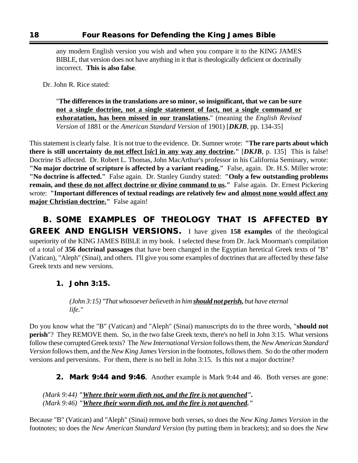any modern English version you wish and when you compare it to the KING JAMES BIBLE, that version does not have anything in it that is theologically deficient or doctrinally incorrect. **This is also false**.

Dr. John R. Rice stated:

"**The differences in the translations are so minor, so insignificant, that we can be sure not a single doctrine, not a single statement of fact, not a single command or exhoratation, has been missed in our translations.**" (meaning the *English Revised Version* of 1881 or the *American Standard Version* of 1901) [*DKJB*, pp. 134-35]

This statement is clearly false. It is not true to the evidence. Dr. Sumner wrote: **"The rare parts about which there is still uncertainty do not effect [***sic***] in any way any doctrine."** [*DKJB*, p. 135] This is false! Doctrine IS affected. Dr. Robert L. Thomas, John MacArthur's professor in his California Seminary, wrote: **"No major doctrine of scripture is affected by a variant reading."** False, again. Dr. H.S. Miller wrote: **"No doctrine is affected."** False again. Dr. Stanley Gundry stated: **"Only a few outstanding problems remain, and these do not affect doctrine or divine command to us."** False again. Dr. Ernest Pickering wrote: **"Important differences of textual readings are relatively few and almost none would affect any major Christian doctrine."** False again!

**B. SOME EXAMPLES OF THEOLOGY THAT IS AFFECTED BY GREEK AND ENGLISH VERSIONS.** I have given **158 examples** of the theological superiority of the KING JAMES BIBLE in my book. I selected these from Dr. Jack Moorman's compilation of a total of **356 doctrinal passages** that have been changed in the Egyptian heretical Greek texts of "B" (Vatican), "Aleph" (Sinai), and others. I'll give you some examples of doctrines that are affected by these false Greek texts and new versions.

#### **1. John 3:15.**

*(John 3:15) "That whosoever believeth in him should not perish, but have eternal life."*

Do you know what the "B" (Vatican) and "Aleph" (Sinai) manuscripts do to the three words, "**should not perish**"? They REMOVE them. So, in the two false Greek texts, there's no hell in John 3:15. What versions follow these corrupted Greek texts? The *New International Version* follows them, the *New American Standard Version* follows them, and the *New King James Version* in the footnotes, follows them. So do the other modern versions and perversions. For them, there is no hell in John 3:15. Is this not a major doctrine?

**2. Mark 9:44 and 9:46.** Another example is Mark 9:44 and 46. Both verses are gone:

*(Mark 9:44) "Where their worm dieth not, and the fire is not quenched". (Mark 9:46) "Where their worm dieth not, and the fire is not quenched."*

Because "B" (Vatican) and "Aleph" (Sinai) remove both verses, so does the *New King James Version* in the footnotes; so does the *New American Standard Version* (by putting them in brackets); and so does the *New*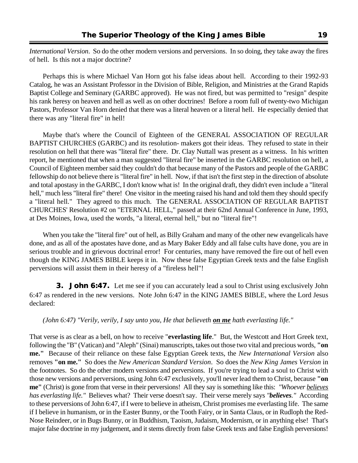*International Version*. So do the other modern versions and perversions. In so doing, they take away the fires of hell. Is this not a major doctrine?

Perhaps this is where Michael Van Horn got his false ideas about hell. According to their 1992-93 Catalog, he was an Assistant Professor in the Division of Bible, Religion, and Ministries at the Grand Rapids Baptist College and Seminary (GARBC approved). He was not fired, but was permitted to "resign" despite his rank heresy on heaven and hell as well as on other doctrines! Before a room full of twenty-two Michigan Pastors, Professor Van Horn denied that there was a literal heaven or a literal hell. He especially denied that there was any "literal fire" in hell!

Maybe that's where the Council of Eighteen of the GENERAL ASSOCIATION OF REGULAR BAPTIST CHURCHES (GARBC) and its resolution- makers got their ideas. They refused to state in their resolution on hell that there was "literal fire" there. Dr. Clay Nuttall was present as a witness. In his written report, he mentioned that when a man suggested "literal fire" be inserted in the GARBC resolution on hell, a Council of Eighteen member said they couldn't do that because many of the Pastors and people of the GARBC fellowship do not believe there is "literal fire" in hell. Now, if that isn't the first step in the direction of absolute and total apostasy in the GARBC, I don't know what is! In the original draft, they didn't even include a "literal hell," much less "literal fire" there! One visitor in the meeting raised his hand and told them they should specify a "literal hell." They agreed to this much. The GENERAL ASSOCIATION OF REGULAR BAPTIST CHURCHES' Resolution #2 on "ETERNAL HELL," passed at their 62nd Annual Conference in June, 1993, at Des Moines, Iowa, used the words, "a literal, eternal hell," but no "literal fire"!

When you take the "literal fire" out of hell, as Billy Graham and many of the other new evangelicals have done, and as all of the apostates have done, and as Mary Baker Eddy and all false cults have done, you are in serious trouble and in grievous doctrinal error! For centuries, many have removed the fire out of hell even though the KING JAMES BIBLE keeps it in. Now these false Egyptian Greek texts and the false English perversions will assist them in their heresy of a "fireless hell"!

**3. John 6:47.** Let me see if you can accurately lead a soul to Christ using exclusively John 6:47 as rendered in the new versions. Note John 6:47 in the KING JAMES BIBLE, where the Lord Jesus declared:

#### *(John 6:47) "Verily, verily, I say unto you, He that believeth on me hath everlasting life."*

That verse is as clear as a bell, on how to receive "**everlasting life**." But, the Westcott and Hort Greek text, following the "B" (Vatican) and "Aleph" (Sinai) manuscripts, takes out those two vital and precious words, **"on me."** Because of their reliance on these false Egyptian Greek texts, the *New International Version* also removes **"on me."** So does the *New American Standard Version*. So does the *New King James Version* in the footnotes. So do the other modern versions and perversions. If you're trying to lead a soul to Christ with those new versions and perversions, using John 6:47 exclusively, you'll never lead them to Christ, because **"on me"** (Christ) is gone from that verse in their perversions! All they say is something like this: *"Whoever believes has everlasting life."* Believes what? Their verse doesn't say. Their verse merely says *"believes."* According to these perversions of John 6:47, if I were to believe in atheism, Christ promises me everlasting life. The same if I believe in humanism, or in the Easter Bunny, or the Tooth Fairy, or in Santa Claus, or in Rudloph the Red-Nose Reindeer, or in Bugs Bunny, or in Buddhism, Taoism, Judaism, Modernism, or in anything else! That's major false doctrine in my judgement, and it stems directly from false Greek texts and false English perversions!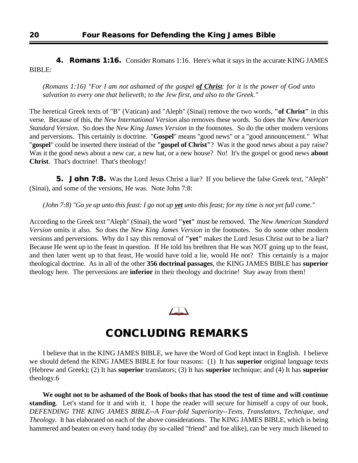**4. Romans 1:16.** Consider Romans 1:16. Here's what it says in the accurate KING JAMES BIBLE:

*(Romans 1:16) "For I am not ashamed of the gospel of Christ: for it is the power of God unto salvation to every one that believeth; to the Jew first, and also to the Greek."*

The heretical Greek texts of "B" (Vatican) and "Aleph" (Sinai) remove the two words, **"of Christ"** in this verse. Because of this, the *New International Version* also removes these words. So does the *New American Standard Version*. So does the *New King James Version* in the footnotes. So do the other modern versions and perversions. This certainly is doctrine. "**Gospel**" means "good news" or a "good announcement." What "**gospel**" could be inserted there instead of the **"gospel of Christ"**? Was it the good news about a pay raise? Was it the good news about a new car, a new hat, or a new house? No! It's the gospel or good news **about Christ**. That's doctrine! That's theology!

**5. John 7:8.** Was the Lord Jesus Christ a liar? If you believe the false Greek text, "Aleph" (Sinai), and some of the versions, He was. Note John 7:8:

*(John 7:8) "Go ye up unto this feast: I go not up yet unto this feast; for my time is not yet full come."*

According to the Greek text "Aleph" (Sinai), the word **"yet"** must be removed. The *New American Standard Version* omits it also. So does the *New King James Version* in the footnotes. So do some other modern versions and perversions. Why do I say this removal of **"yet"** makes the Lord Jesus Christ out to be a liar? Because He went up to the feast in question. If He told his brethren that He was NOT going up to the feast, and then later went up to that feast, He would have told a lie, would He not? This certainly is a major theological doctrine. As in all of the other **356 doctrinal passages**, the KING JAMES BIBLE has **superior** theology here. The perversions are **inferior** in their theology and doctrine! Stay away from them!



### **CONCLUDING REMARKS**

I believe that in the KING JAMES BIBLE, we have the Word of God kept intact in English. I believe we should defend the KING JAMES BIBLE for four reasons: (1) It has **superior** original language texts (Hebrew and Greek); (2) It has **superior** translators; (3) It has **superior** technique; and (4) It has **superior** theology.6

**We ought not to be ashamed of the Book of books that has stood the test of time and will continue standing**. Let's stand for it and with it. I hope the reader will secure for himself a copy of our book, *DEFENDING THE KING JAMES BIBLE--A Four-fold Superiority--Texts, Translators, Technique, and Theology*. It has elaborated on each of the above considerations. The KING JAMES BIBLE, which is being hammered and beaten on every hand today (by so-called "friend" and foe alike), can be very much likened to